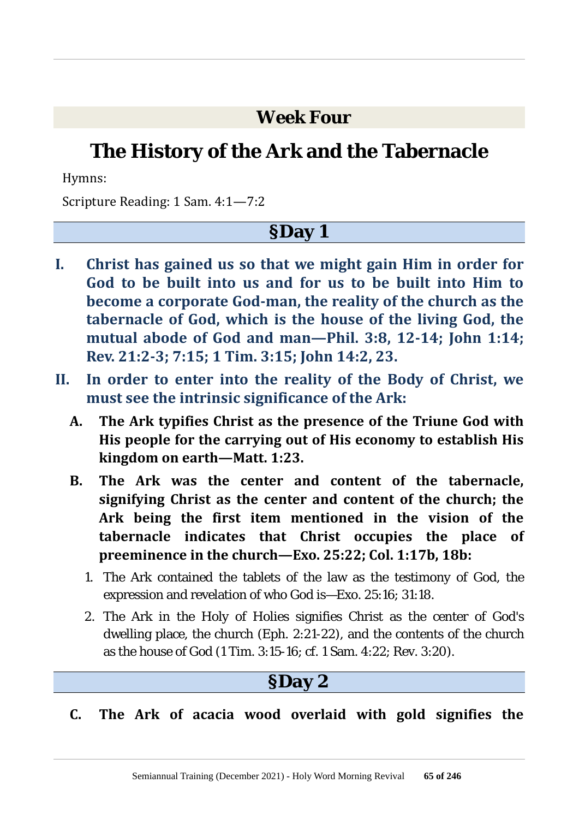#### **Week Four**

# **The History of the Ark and the Tabernacle**

Hymns:

Scripture Reading: 1 Sam. 4:1—7:2

#### **§Day 1**

- **I. Christ has gained us so that we might gain Him in order for God to be built into us and for us to be built into Him to become a corporate God-man, the reality of the church as the tabernacle of God, which is the house of the living God, the mutual abode of God and man—Phil. 3:8, 12-14; John 1:14; Rev. 21:2-3; 7:15; 1 Tim. 3:15; John 14:2, 23.**
- **II. In order to enter into the reality of the Body of Christ, we must see the intrinsic significance of the Ark:**
	- **A. The Ark typifies Christ as the presence of the Triune God with His people for the carrying out of His economy to establish His kingdom on earth—Matt. 1:23.**
	- **B. The Ark was the center and content of the tabernacle, signifying Christ as the center and content of the church; the Ark being the first item mentioned in the vision of the tabernacle indicates that Christ occupies the place of preeminence in the church—Exo. 25:22; Col. 1:17b, 18b:**
		- 1. The Ark contained the tablets of the law as the testimony of God, the expression and revelation of who God is—Exo. 25:16; 31:18.
		- 2. The Ark in the Holy of Holies signifies Christ as the center of God's dwelling place, the church (Eph. 2:21-22), and the contents of the church as the house of God (1 Tim. 3:15-16; cf. 1 Sam. 4:22; Rev. 3:20).

#### **§Day 2**

#### **C. The Ark of acacia wood overlaid with gold signifies the**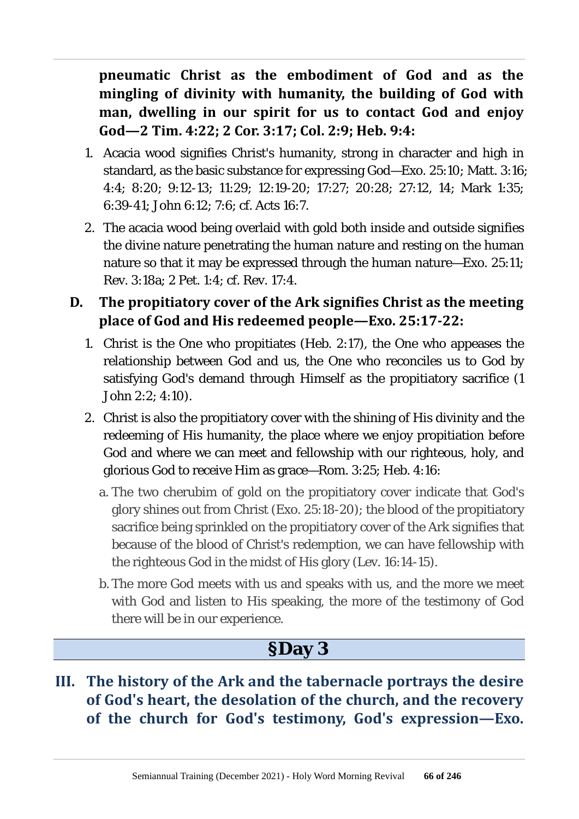**pneumatic Christ as the embodiment of God and as the mingling of divinity with humanity, the building of God with man, dwelling in our spirit for us to contact God and enjoy God—2 Tim. 4:22; 2 Cor. 3:17; Col. 2:9; Heb. 9:4:**

- 1. Acacia wood signifies Christ's humanity, strong in character and high in standard, as the basic substance for expressing God—Exo. 25:10; Matt. 3:16; 4:4; 8:20; 9:12-13; 11:29; 12:19-20; 17:27; 20:28; 27:12, 14; Mark 1:35; 6:39-41; John 6:12; 7:6; cf. Acts 16:7.
- 2. The acacia wood being overlaid with gold both inside and outside signifies the divine nature penetrating the human nature and resting on the human nature so that it may be expressed through the human nature—Exo. 25:11; Rev. 3:18a; 2 Pet. 1:4; cf. Rev. 17:4.
- **D. The propitiatory cover of the Ark signifies Christ as the meeting place of God and His redeemed people—Exo. 25:17-22:**
	- 1. Christ is the One who propitiates (Heb. 2:17), the One who appeases the relationship between God and us, the One who reconciles us to God by satisfying God's demand through Himself as the propitiatory sacrifice (1 John 2:2; 4:10).
	- 2. Christ is also the propitiatory cover with the shining of His divinity and the redeeming of His humanity, the place where we enjoy propitiation before God and where we can meet and fellowship with our righteous, holy, and glorious God to receive Him as grace—Rom. 3:25; Heb. 4:16:
		- a. The two cherubim of gold on the propitiatory cover indicate that God's glory shines out from Christ (Exo. 25:18-20); the blood of the propitiatory sacrifice being sprinkled on the propitiatory cover of the Ark signifies that because of the blood of Christ's redemption, we can have fellowship with the righteous God in the midst of His glory (Lev. 16:14-15).
		- b. The more God meets with us and speaks with us, and the more we meet with God and listen to His speaking, the more of the testimony of God there will be in our experience.

### **§Day 3**

**III. The history of the Ark and the tabernacle portrays the desire of God's heart, the desolation of the church, and the recovery of the church for God's testimony, God's expression—Exo.**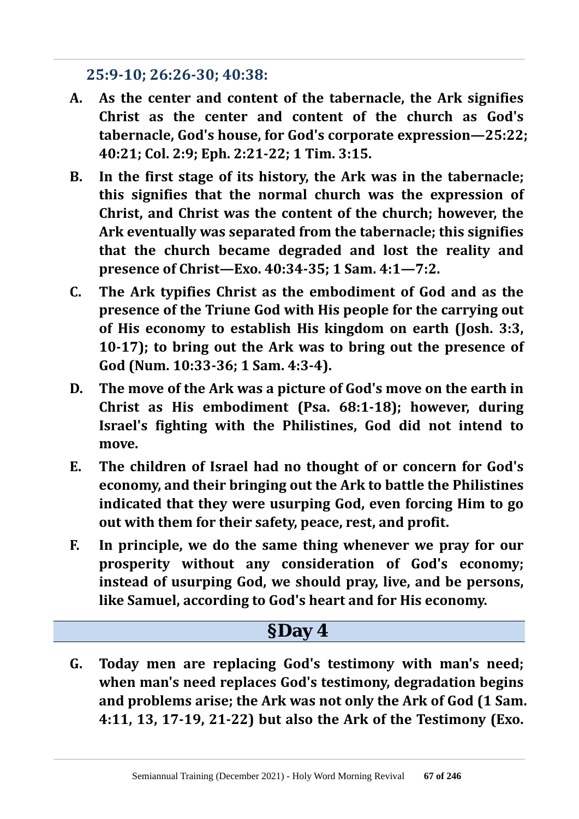**25:9-10; 26:26-30; 40:38:**

- **A. As the center and content of the tabernacle, the Ark signifies Christ as the center and content of the church as God's tabernacle, God's house, for God's corporate expression—25:22; 40:21; Col. 2:9; Eph. 2:21-22; 1 Tim. 3:15.**
- **B. In the first stage of its history, the Ark was in the tabernacle; this signifies that the normal church was the expression of Christ, and Christ was the content of the church; however, the Ark eventually was separated from the tabernacle; this signifies that the church became degraded and lost the reality and presence of Christ—Exo. 40:34-35; 1 Sam. 4:1—7:2.**
- **C. The Ark typifies Christ as the embodiment of God and as the presence of the Triune God with His people for the carrying out of His economy to establish His kingdom on earth (Josh. 3:3, 10-17); to bring out the Ark was to bring out the presence of God (Num. 10:33-36; 1 Sam. 4:3-4).**
- **D. The move of the Ark was a picture of God's move on the earth in Christ as His embodiment (Psa. 68:1-18); however, during Israel's fighting with the Philistines, God did not intend to move.**
- **E. The children of Israel had no thought of or concern for God's economy, and their bringing out the Ark to battle the Philistines indicated that they were usurping God, even forcing Him to go out with them for their safety, peace, rest, and profit.**
- **F. In principle, we do the same thing whenever we pray for our prosperity without any consideration of God's economy; instead of usurping God, we should pray, live, and be persons, like Samuel, according to God's heart and for His economy.**

### **§Day 4**

**G. Today men are replacing God's testimony with man's need; when man's need replaces God's testimony, degradation begins and problems arise; the Ark was not only the Ark of God (1 Sam. 4:11, 13, 17-19, 21-22) but also the Ark of the Testimony (Exo.**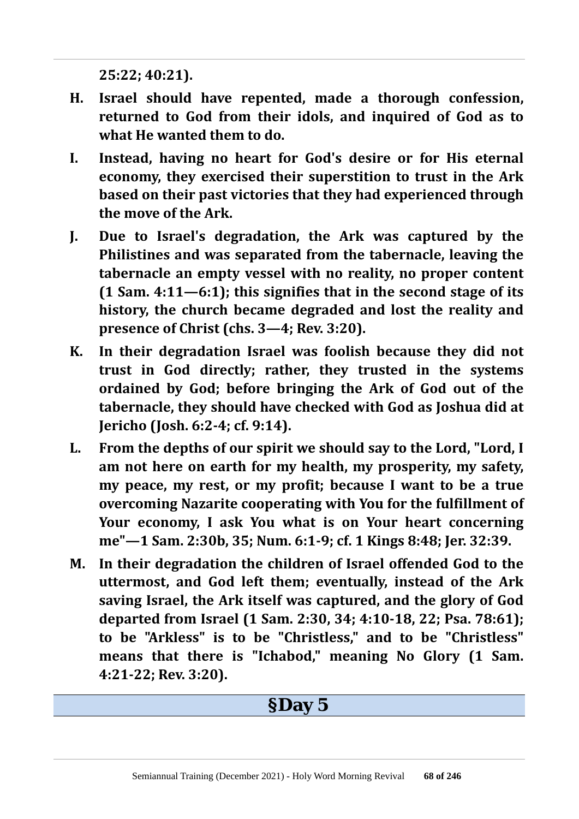**25:22; 40:21).**

- **H. Israel should have repented, made a thorough confession, returned to God from their idols, and inquired of God as to what He wanted them to do.**
- **I. Instead, having no heart for God's desire or for His eternal economy, they exercised their superstition to trust in the Ark based on their past victories that they had experienced through the move of the Ark.**
- **J. Due to Israel's degradation, the Ark was captured by the Philistines and was separated from the tabernacle, leaving the tabernacle an empty vessel with no reality, no proper content (1 Sam. 4:11—6:1); this signifies that in the second stage of its history, the church became degraded and lost the reality and presence of Christ (chs. 3—4; Rev. 3:20).**
- **K. In their degradation Israel was foolish because they did not trust in God directly; rather, they trusted in the systems ordained by God; before bringing the Ark of God out of the tabernacle, they should have checked with God as Joshua did at Jericho (Josh. 6:2-4; cf. 9:14).**
- **L. From the depths of our spirit we should say to the Lord, "Lord, I am not here on earth for my health, my prosperity, my safety, my peace, my rest, or my profit; because I want to be a true overcoming Nazarite cooperating with You for the fulfillment of Your economy, I ask You what is on Your heart concerning me"—1 Sam. 2:30b, 35; Num. 6:1-9; cf. 1 Kings 8:48; Jer. 32:39.**
- **M. In their degradation the children of Israel offended God to the uttermost, and God left them; eventually, instead of the Ark saving Israel, the Ark itself was captured, and the glory of God departed from Israel (1 Sam. 2:30, 34; 4:10-18, 22; Psa. 78:61); to be "Arkless" is to be "Christless," and to be "Christless" means that there is "Ichabod," meaning No Glory (1 Sam. 4:21-22; Rev. 3:20).**

#### **§Day 5**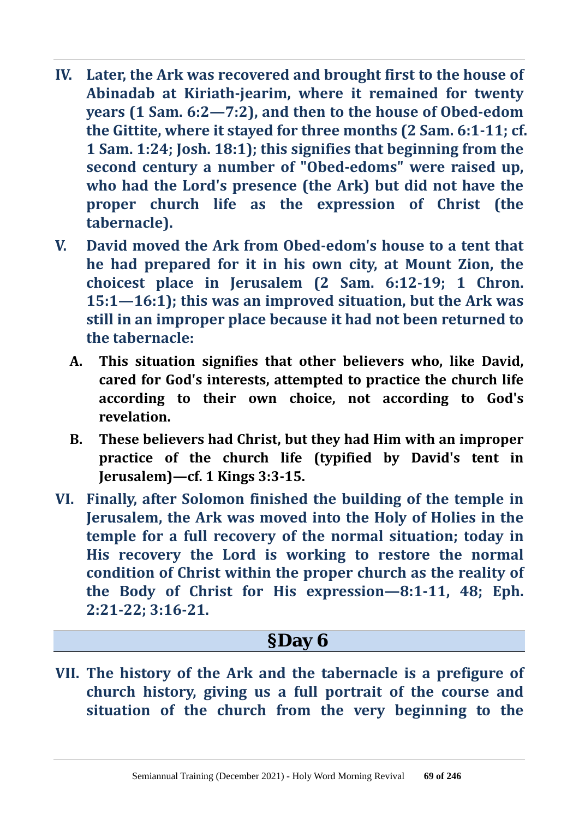- **IV. Later, the Ark was recovered and brought first to the house of Abinadab at Kiriath-jearim, where it remained for twenty years (1 Sam. 6:2—7:2), and then to the house of Obed-edom the Gittite, where it stayed for three months (2 Sam. 6:1-11; cf. 1 Sam. 1:24; Josh. 18:1); this signifies that beginning from the second century a number of "Obed-edoms" were raised up, who had the Lord's presence (the Ark) but did not have the proper church life as the expression of Christ (the tabernacle).**
- **V. David moved the Ark from Obed-edom's house to a tent that he had prepared for it in his own city, at Mount Zion, the choicest place in Jerusalem (2 Sam. 6:12-19; 1 Chron. 15:1—16:1); this was an improved situation, but the Ark was still in an improper place because it had not been returned to the tabernacle:**
	- **A. This situation signifies that other believers who, like David, cared for God's interests, attempted to practice the church life according to their own choice, not according to God's revelation.**
	- **B. These believers had Christ, but they had Him with an improper practice of the church life (typified by David's tent in Jerusalem)—cf. 1 Kings 3:3-15.**
- **VI. Finally, after Solomon finished the building of the temple in Jerusalem, the Ark was moved into the Holy of Holies in the temple for a full recovery of the normal situation; today in His recovery the Lord is working to restore the normal condition of Christ within the proper church as the reality of the Body of Christ for His expression—8:1-11, 48; Eph. 2:21-22; 3:16-21.**

### **§Day 6**

**VII. The history of the Ark and the tabernacle is a prefigure of church history, giving us a full portrait of the course and situation of the church from the very beginning to the**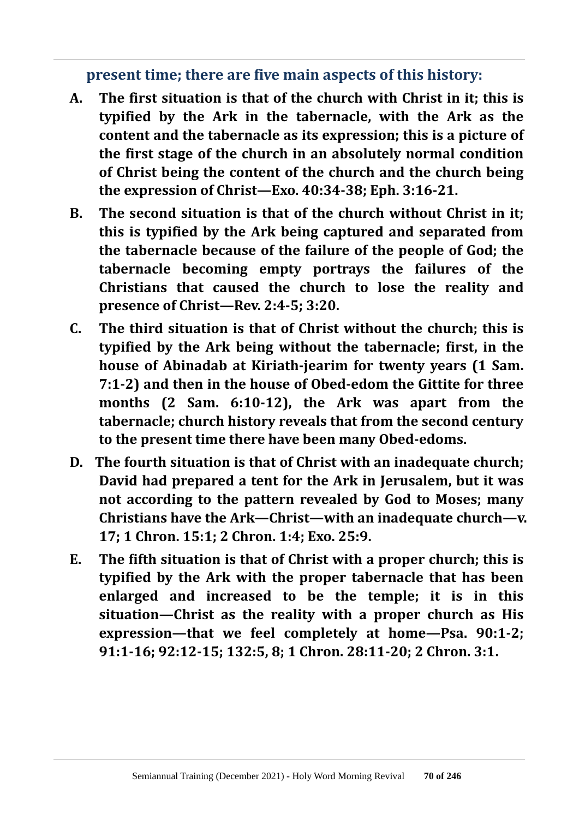**present time; there are five main aspects of this history:**

- **A. The first situation is that of the church with Christ in it; this is typified by the Ark in the tabernacle, with the Ark as the content and the tabernacle as its expression; this is a picture of the first stage of the church in an absolutely normal condition of Christ being the content of the church and the church being the expression of Christ—Exo. 40:34-38; Eph. 3:16-21.**
- **B. The second situation is that of the church without Christ in it; this is typified by the Ark being captured and separated from the tabernacle because of the failure of the people of God; the tabernacle becoming empty portrays the failures of the Christians that caused the church to lose the reality and presence of Christ—Rev. 2:4-5; 3:20.**
- **C. The third situation is that of Christ without the church; this is typified by the Ark being without the tabernacle; first, in the house of Abinadab at Kiriath-jearim for twenty years (1 Sam. 7:1-2) and then in the house of Obed-edom the Gittite for three months (2 Sam. 6:10-12), the Ark was apart from the tabernacle; church history reveals that from the second century to the present time there have been many Obed-edoms.**
- **D. The fourth situation is that of Christ with an inadequate church; David had prepared a tent for the Ark in Jerusalem, but it was not according to the pattern revealed by God to Moses; many Christians have the Ark—Christ—with an inadequate church—v. 17; 1 Chron. 15:1; 2 Chron. 1:4; Exo. 25:9.**
- **E. The fifth situation is that of Christ with a proper church; this is typified by the Ark with the proper tabernacle that has been enlarged and increased to be the temple; it is in this situation—Christ as the reality with a proper church as His expression—that we feel completely at home—Psa. 90:1-2; 91:1-16; 92:12-15; 132:5, 8; 1 Chron. 28:11-20; 2 Chron. 3:1.**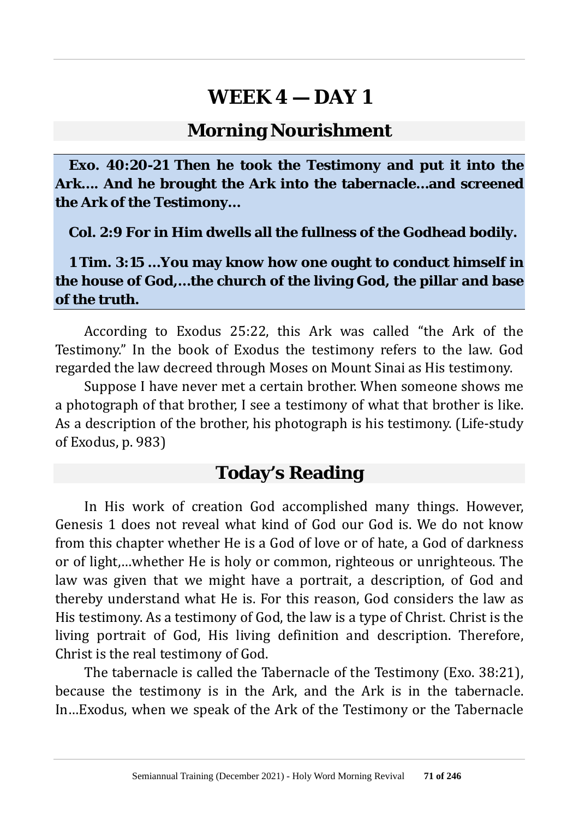#### **Morning Nourishment**

**Exo. 40:20-21 Then he took the Testimony and put it into the Ark…. And he brought the Ark into the tabernacle…and screened the Ark of the Testimony…**

**Col. 2:9 For in Him dwells all the fullness of the Godhead bodily.**

**1 Tim. 3:15 …You may know how one ought to conduct himself in the house of God,…the church of the living God, the pillar and base of the truth.**

According to Exodus 25:22, this Ark was called "the Ark of the Testimony." In the book of Exodus the testimony refers to the law. God regarded the law decreed through Moses on Mount Sinai as His testimony.

Suppose I have never met a certain brother. When someone shows me a photograph of that brother, I see a testimony of what that brother is like. As a description of the brother, his photograph is his testimony. (Life-study of Exodus, p. 983)

#### **Today's Reading**

In His work of creation God accomplished many things. However, Genesis 1 does not reveal what kind of God our God is. We do not know from this chapter whether He is a God of love or of hate, a God of darkness or of light,…whether He is holy or common, righteous or unrighteous. The law was given that we might have a portrait, a description, of God and thereby understand what He is. For this reason, God considers the law as His testimony. As a testimony of God, the law is a type of Christ. Christ is the living portrait of God, His living definition and description. Therefore, Christ is the real testimony of God.

The tabernacle is called the Tabernacle of the Testimony (Exo. 38:21), because the testimony is in the Ark, and the Ark is in the tabernacle. In…Exodus, when we speak of the Ark of the Testimony or the Tabernacle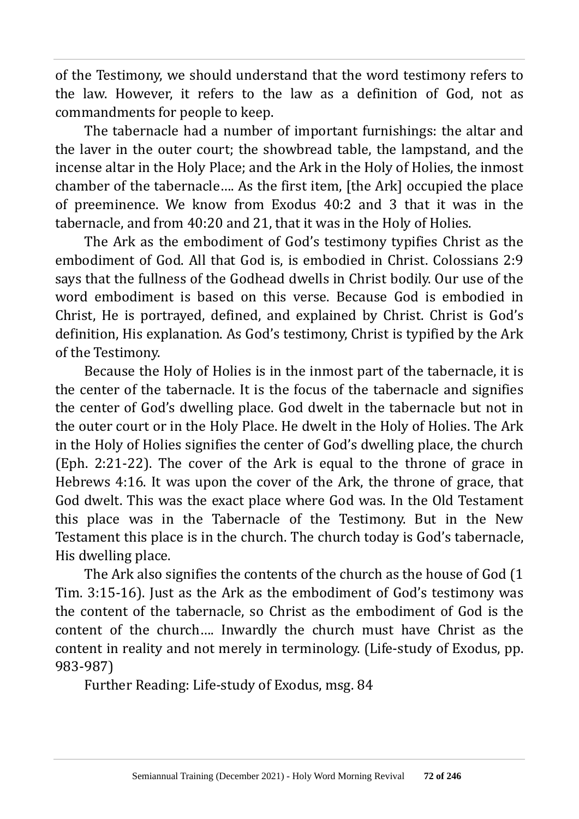of the Testimony, we should understand that the word testimony refers to the law. However, it refers to the law as a definition of God, not as commandments for people to keep.

The tabernacle had a number of important furnishings: the altar and the laver in the outer court; the showbread table, the lampstand, and the incense altar in the Holy Place; and the Ark in the Holy of Holies, the inmost chamber of the tabernacle…. As the first item, [the Ark] occupied the place of preeminence. We know from Exodus 40:2 and 3 that it was in the tabernacle, and from 40:20 and 21, that it was in the Holy of Holies.

The Ark as the embodiment of God's testimony typifies Christ as the embodiment of God. All that God is, is embodied in Christ. Colossians 2:9 says that the fullness of the Godhead dwells in Christ bodily. Our use of the word embodiment is based on this verse. Because God is embodied in Christ, He is portrayed, defined, and explained by Christ. Christ is God's definition, His explanation. As God's testimony, Christ is typified by the Ark of the Testimony.

Because the Holy of Holies is in the inmost part of the tabernacle, it is the center of the tabernacle. It is the focus of the tabernacle and signifies the center of God's dwelling place. God dwelt in the tabernacle but not in the outer court or in the Holy Place. He dwelt in the Holy of Holies. The Ark in the Holy of Holies signifies the center of God's dwelling place, the church (Eph. 2:21-22). The cover of the Ark is equal to the throne of grace in Hebrews 4:16. It was upon the cover of the Ark, the throne of grace, that God dwelt. This was the exact place where God was. In the Old Testament this place was in the Tabernacle of the Testimony. But in the New Testament this place is in the church. The church today is God's tabernacle, His dwelling place.

The Ark also signifies the contents of the church as the house of God (1 Tim. 3:15-16). Just as the Ark as the embodiment of God's testimony was the content of the tabernacle, so Christ as the embodiment of God is the content of the church…. Inwardly the church must have Christ as the content in reality and not merely in terminology. (Life-study of Exodus, pp. 983-987)

Further Reading: Life-study of Exodus, msg. 84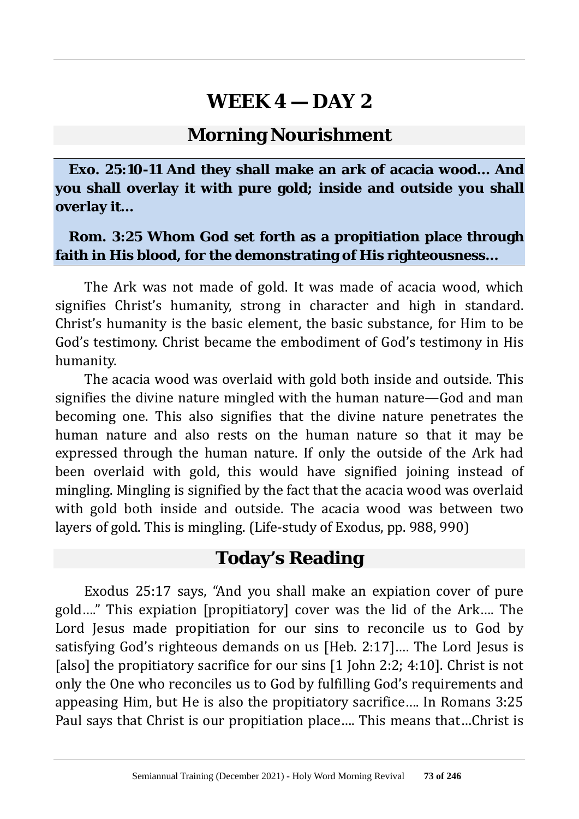#### **Morning Nourishment**

**Exo. 25:10-11 And they shall make an ark of acacia wood… And you shall overlay it with pure gold; inside and outside you shall overlay it…**

#### **Rom. 3:25 Whom God set forth as a propitiation place through faith in His blood, for the demonstrating of His righteousness…**

The Ark was not made of gold. It was made of acacia wood, which signifies Christ's humanity, strong in character and high in standard. Christ's humanity is the basic element, the basic substance, for Him to be God's testimony. Christ became the embodiment of God's testimony in His humanity.

The acacia wood was overlaid with gold both inside and outside. This signifies the divine nature mingled with the human nature—God and man becoming one. This also signifies that the divine nature penetrates the human nature and also rests on the human nature so that it may be expressed through the human nature. If only the outside of the Ark had been overlaid with gold, this would have signified joining instead of mingling. Mingling is signified by the fact that the acacia wood was overlaid with gold both inside and outside. The acacia wood was between two layers of gold. This is mingling. (Life-study of Exodus, pp. 988, 990)

#### **Today's Reading**

Exodus 25:17 says, "And you shall make an expiation cover of pure gold…." This expiation [propitiatory] cover was the lid of the Ark…. The Lord Jesus made propitiation for our sins to reconcile us to God by satisfying God's righteous demands on us [Heb. 2:17]…. The Lord Jesus is [also] the propitiatory sacrifice for our sins [1 John 2:2; 4:10]. Christ is not only the One who reconciles us to God by fulfilling God's requirements and appeasing Him, but He is also the propitiatory sacrifice…. In Romans 3:25 Paul says that Christ is our propitiation place…. This means that…Christ is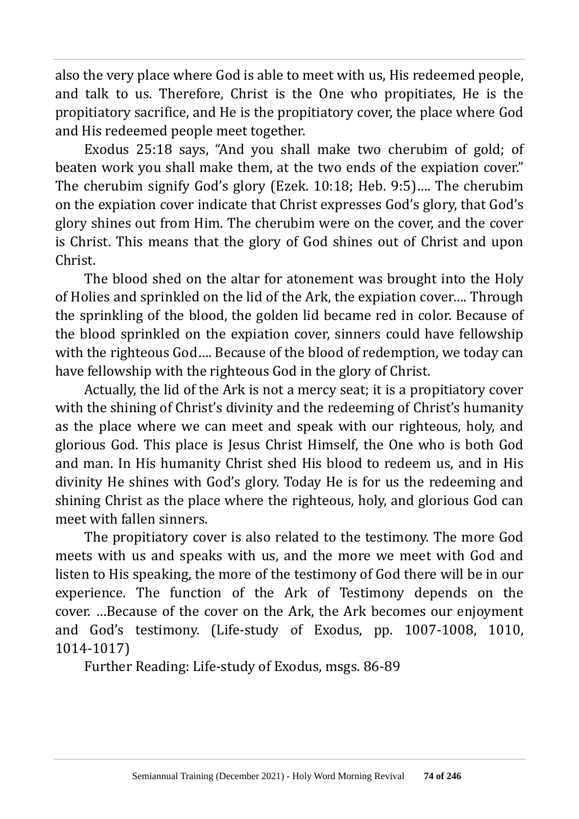also the very place where God is able to meet with us, His redeemed people, and talk to us. Therefore, Christ is the One who propitiates, He is the propitiatory sacrifice, and He is the propitiatory cover, the place where God and His redeemed people meet together.

Exodus 25:18 says, "And you shall make two cherubim of gold; of beaten work you shall make them, at the two ends of the expiation cover." The cherubim signify God's glory (Ezek. 10:18; Heb. 9:5)…. The cherubim on the expiation cover indicate that Christ expresses God's glory, that God's glory shines out from Him. The cherubim were on the cover, and the cover is Christ. This means that the glory of God shines out of Christ and upon Christ.

The blood shed on the altar for atonement was brought into the Holy of Holies and sprinkled on the lid of the Ark, the expiation cover…. Through the sprinkling of the blood, the golden lid became red in color. Because of the blood sprinkled on the expiation cover, sinners could have fellowship with the righteous God…. Because of the blood of redemption, we today can have fellowship with the righteous God in the glory of Christ.

Actually, the lid of the Ark is not a mercy seat; it is a propitiatory cover with the shining of Christ's divinity and the redeeming of Christ's humanity as the place where we can meet and speak with our righteous, holy, and glorious God. This place is Jesus Christ Himself, the One who is both God and man. In His humanity Christ shed His blood to redeem us, and in His divinity He shines with God's glory. Today He is for us the redeeming and shining Christ as the place where the righteous, holy, and glorious God can meet with fallen sinners.

The propitiatory cover is also related to the testimony. The more God meets with us and speaks with us, and the more we meet with God and listen to His speaking, the more of the testimony of God there will be in our experience. The function of the Ark of Testimony depends on the cover. …Because of the cover on the Ark, the Ark becomes our enjoyment and God's testimony. (Life-study of Exodus, pp. 1007-1008, 1010, 1014-1017)

Further Reading: Life-study of Exodus, msgs. 86-89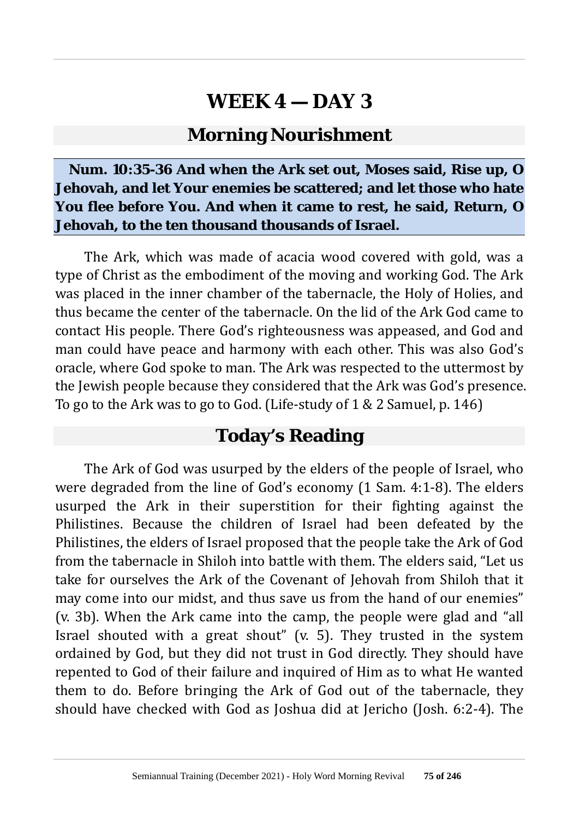#### **Morning Nourishment**

**Num. 10:35-36 And when the Ark set out, Moses said, Rise up, O Jehovah, and let Your enemies be scattered; and let those who hate You flee before You. And when it came to rest, he said, Return, O Jehovah, to the ten thousand thousands of Israel.**

The Ark, which was made of acacia wood covered with gold, was a type of Christ as the embodiment of the moving and working God. The Ark was placed in the inner chamber of the tabernacle, the Holy of Holies, and thus became the center of the tabernacle. On the lid of the Ark God came to contact His people. There God's righteousness was appeased, and God and man could have peace and harmony with each other. This was also God's oracle, where God spoke to man. The Ark was respected to the uttermost by the Jewish people because they considered that the Ark was God's presence. To go to the Ark was to go to God. (Life-study of 1 & 2 Samuel, p. 146)

#### **Today's Reading**

The Ark of God was usurped by the elders of the people of Israel, who were degraded from the line of God's economy (1 Sam. 4:1-8). The elders usurped the Ark in their superstition for their fighting against the Philistines. Because the children of Israel had been defeated by the Philistines, the elders of Israel proposed that the people take the Ark of God from the tabernacle in Shiloh into battle with them. The elders said, "Let us take for ourselves the Ark of the Covenant of Jehovah from Shiloh that it may come into our midst, and thus save us from the hand of our enemies" (v. 3b). When the Ark came into the camp, the people were glad and "all Israel shouted with a great shout" (v. 5). They trusted in the system ordained by God, but they did not trust in God directly. They should have repented to God of their failure and inquired of Him as to what He wanted them to do. Before bringing the Ark of God out of the tabernacle, they should have checked with God as Joshua did at Jericho (Josh. 6:2-4). The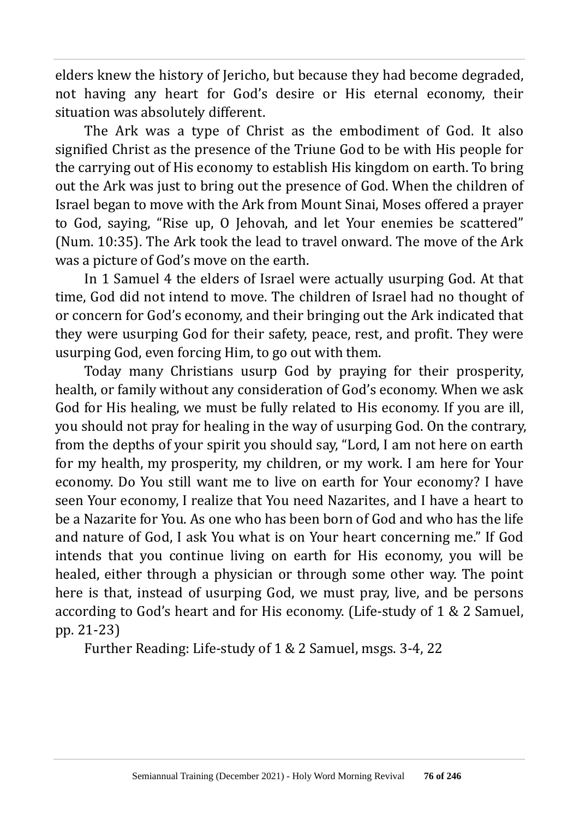elders knew the history of Jericho, but because they had become degraded, not having any heart for God's desire or His eternal economy, their situation was absolutely different.

The Ark was a type of Christ as the embodiment of God. It also signified Christ as the presence of the Triune God to be with His people for the carrying out of His economy to establish His kingdom on earth. To bring out the Ark was just to bring out the presence of God. When the children of Israel began to move with the Ark from Mount Sinai, Moses offered a prayer to God, saying, "Rise up, O Jehovah, and let Your enemies be scattered" (Num. 10:35). The Ark took the lead to travel onward. The move of the Ark was a picture of God's move on the earth.

In 1 Samuel 4 the elders of Israel were actually usurping God. At that time, God did not intend to move. The children of Israel had no thought of or concern for God's economy, and their bringing out the Ark indicated that they were usurping God for their safety, peace, rest, and profit. They were usurping God, even forcing Him, to go out with them.

Today many Christians usurp God by praying for their prosperity, health, or family without any consideration of God's economy. When we ask God for His healing, we must be fully related to His economy. If you are ill, you should not pray for healing in the way of usurping God. On the contrary, from the depths of your spirit you should say, "Lord, I am not here on earth for my health, my prosperity, my children, or my work. I am here for Your economy. Do You still want me to live on earth for Your economy? I have seen Your economy, I realize that You need Nazarites, and I have a heart to be a Nazarite for You. As one who has been born of God and who has the life and nature of God, I ask You what is on Your heart concerning me." If God intends that you continue living on earth for His economy, you will be healed, either through a physician or through some other way. The point here is that, instead of usurping God, we must pray, live, and be persons according to God's heart and for His economy. (Life-study of 1 & 2 Samuel, pp. 21-23)

Further Reading: Life-study of 1 & 2 Samuel, msgs. 3-4, 22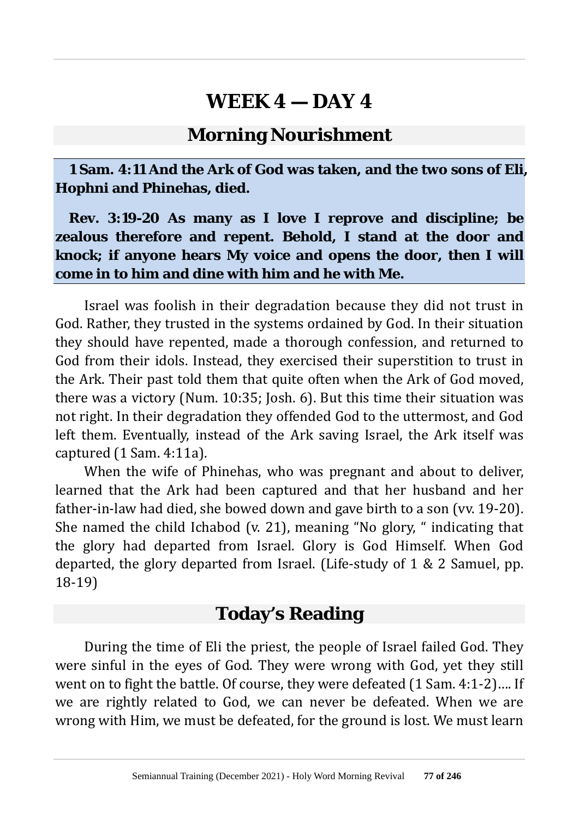#### **Morning Nourishment**

**1 Sam. 4:11 And the Ark of God was taken, and the two sons of Eli, Hophni and Phinehas, died.**

**Rev. 3:19-20 As many as I love I reprove and discipline; be zealous therefore and repent. Behold, I stand at the door and knock; if anyone hears My voice and opens the door, then I will come in to him and dine with him and he with Me.**

Israel was foolish in their degradation because they did not trust in God. Rather, they trusted in the systems ordained by God. In their situation they should have repented, made a thorough confession, and returned to God from their idols. Instead, they exercised their superstition to trust in the Ark. Their past told them that quite often when the Ark of God moved, there was a victory (Num. 10:35; Josh. 6). But this time their situation was not right. In their degradation they offended God to the uttermost, and God left them. Eventually, instead of the Ark saving Israel, the Ark itself was captured (1 Sam. 4:11a).

When the wife of Phinehas, who was pregnant and about to deliver, learned that the Ark had been captured and that her husband and her father-in-law had died, she bowed down and gave birth to a son (vv. 19-20). She named the child Ichabod (v. 21), meaning "No glory, " indicating that the glory had departed from Israel. Glory is God Himself. When God departed, the glory departed from Israel. (Life-study of 1 & 2 Samuel, pp. 18-19)

### **Today's Reading**

During the time of Eli the priest, the people of Israel failed God. They were sinful in the eyes of God. They were wrong with God, yet they still went on to fight the battle. Of course, they were defeated (1 Sam. 4:1-2)…. If we are rightly related to God, we can never be defeated. When we are wrong with Him, we must be defeated, for the ground is lost. We must learn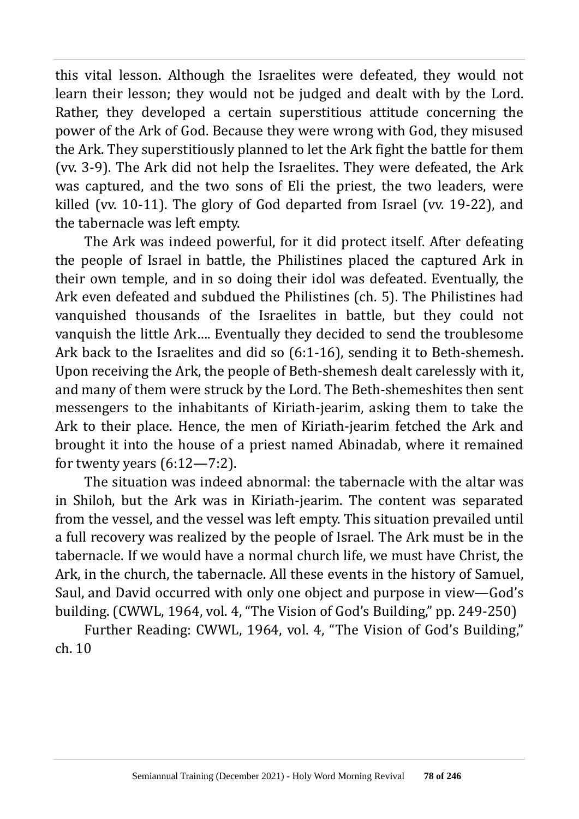this vital lesson. Although the Israelites were defeated, they would not learn their lesson; they would not be judged and dealt with by the Lord. Rather, they developed a certain superstitious attitude concerning the power of the Ark of God. Because they were wrong with God, they misused the Ark. They superstitiously planned to let the Ark fight the battle for them (vv. 3-9). The Ark did not help the Israelites. They were defeated, the Ark was captured, and the two sons of Eli the priest, the two leaders, were killed (vv. 10-11). The glory of God departed from Israel (vv. 19-22), and the tabernacle was left empty.

The Ark was indeed powerful, for it did protect itself. After defeating the people of Israel in battle, the Philistines placed the captured Ark in their own temple, and in so doing their idol was defeated. Eventually, the Ark even defeated and subdued the Philistines (ch. 5). The Philistines had vanquished thousands of the Israelites in battle, but they could not vanquish the little Ark…. Eventually they decided to send the troublesome Ark back to the Israelites and did so (6:1-16), sending it to Beth-shemesh. Upon receiving the Ark, the people of Beth-shemesh dealt carelessly with it, and many of them were struck by the Lord. The Beth-shemeshites then sent messengers to the inhabitants of Kiriath-jearim, asking them to take the Ark to their place. Hence, the men of Kiriath-jearim fetched the Ark and brought it into the house of a priest named Abinadab, where it remained for twenty years  $(6:12-7:2)$ .

The situation was indeed abnormal: the tabernacle with the altar was in Shiloh, but the Ark was in Kiriath-jearim. The content was separated from the vessel, and the vessel was left empty. This situation prevailed until a full recovery was realized by the people of Israel. The Ark must be in the tabernacle. If we would have a normal church life, we must have Christ, the Ark, in the church, the tabernacle. All these events in the history of Samuel, Saul, and David occurred with only one object and purpose in view—God's building. (CWWL, 1964, vol. 4, "The Vision of God's Building," pp. 249-250)

Further Reading: CWWL, 1964, vol. 4, "The Vision of God's Building," ch. 10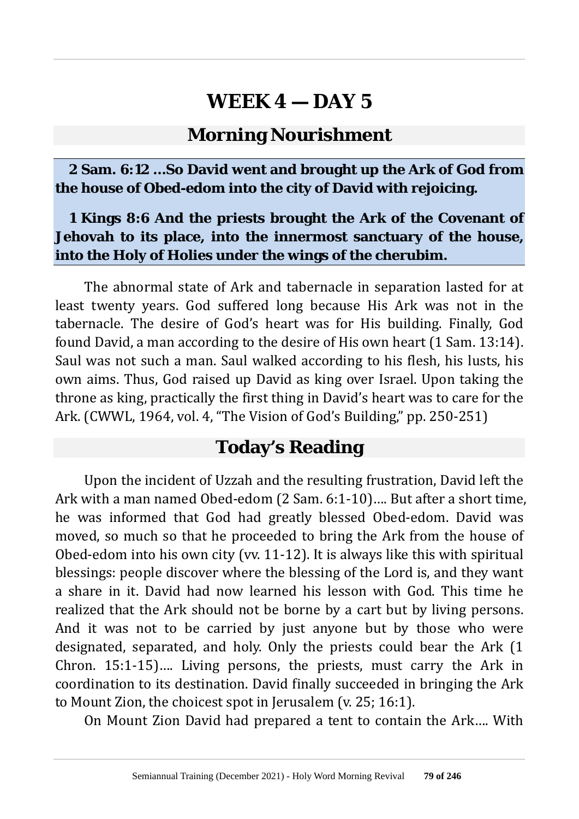#### **Morning Nourishment**

**2 Sam. 6:12 …So David went and brought up the Ark of God from the house of Obed-edom into the city of David with rejoicing.**

#### **1 Kings 8:6 And the priests brought the Ark of the Covenant of Jehovah to its place, into the innermost sanctuary of the house, into the Holy of Holies under the wings of the cherubim.**

The abnormal state of Ark and tabernacle in separation lasted for at least twenty years. God suffered long because His Ark was not in the tabernacle. The desire of God's heart was for His building. Finally, God found David, a man according to the desire of His own heart (1 Sam. 13:14). Saul was not such a man. Saul walked according to his flesh, his lusts, his own aims. Thus, God raised up David as king over Israel. Upon taking the throne as king, practically the first thing in David's heart was to care for the Ark. (CWWL, 1964, vol. 4, "The Vision of God's Building," pp. 250-251)

### **Today's Reading**

Upon the incident of Uzzah and the resulting frustration, David left the Ark with a man named Obed-edom (2 Sam. 6:1-10)…. But after a short time, he was informed that God had greatly blessed Obed-edom. David was moved, so much so that he proceeded to bring the Ark from the house of Obed-edom into his own city (vv. 11-12). It is always like this with spiritual blessings: people discover where the blessing of the Lord is, and they want a share in it. David had now learned his lesson with God. This time he realized that the Ark should not be borne by a cart but by living persons. And it was not to be carried by just anyone but by those who were designated, separated, and holy. Only the priests could bear the Ark (1 Chron. 15:1-15)…. Living persons, the priests, must carry the Ark in coordination to its destination. David finally succeeded in bringing the Ark to Mount Zion, the choicest spot in Jerusalem (v. 25; 16:1).

On Mount Zion David had prepared a tent to contain the Ark…. With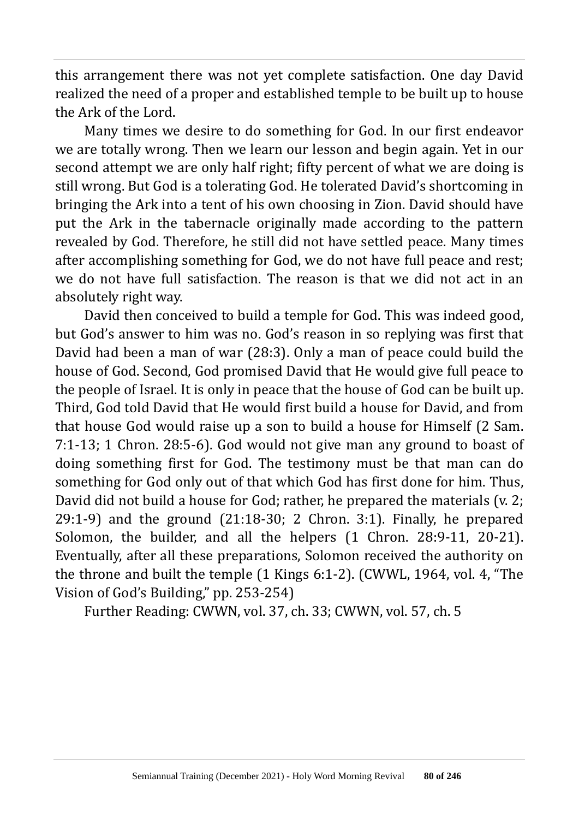this arrangement there was not yet complete satisfaction. One day David realized the need of a proper and established temple to be built up to house the Ark of the Lord.

Many times we desire to do something for God. In our first endeavor we are totally wrong. Then we learn our lesson and begin again. Yet in our second attempt we are only half right; fifty percent of what we are doing is still wrong. But God is a tolerating God. He tolerated David's shortcoming in bringing the Ark into a tent of his own choosing in Zion. David should have put the Ark in the tabernacle originally made according to the pattern revealed by God. Therefore, he still did not have settled peace. Many times after accomplishing something for God, we do not have full peace and rest; we do not have full satisfaction. The reason is that we did not act in an absolutely right way.

David then conceived to build a temple for God. This was indeed good, but God's answer to him was no. God's reason in so replying was first that David had been a man of war (28:3). Only a man of peace could build the house of God. Second, God promised David that He would give full peace to the people of Israel. It is only in peace that the house of God can be built up. Third, God told David that He would first build a house for David, and from that house God would raise up a son to build a house for Himself (2 Sam. 7:1-13; 1 Chron. 28:5-6). God would not give man any ground to boast of doing something first for God. The testimony must be that man can do something for God only out of that which God has first done for him. Thus, David did not build a house for God; rather, he prepared the materials (v. 2; 29:1-9) and the ground (21:18-30; 2 Chron. 3:1). Finally, he prepared Solomon, the builder, and all the helpers (1 Chron. 28:9-11, 20-21). Eventually, after all these preparations, Solomon received the authority on the throne and built the temple (1 Kings 6:1-2). (CWWL, 1964, vol. 4, "The Vision of God's Building," pp. 253-254)

Further Reading: CWWN, vol. 37, ch. 33; CWWN, vol. 57, ch. 5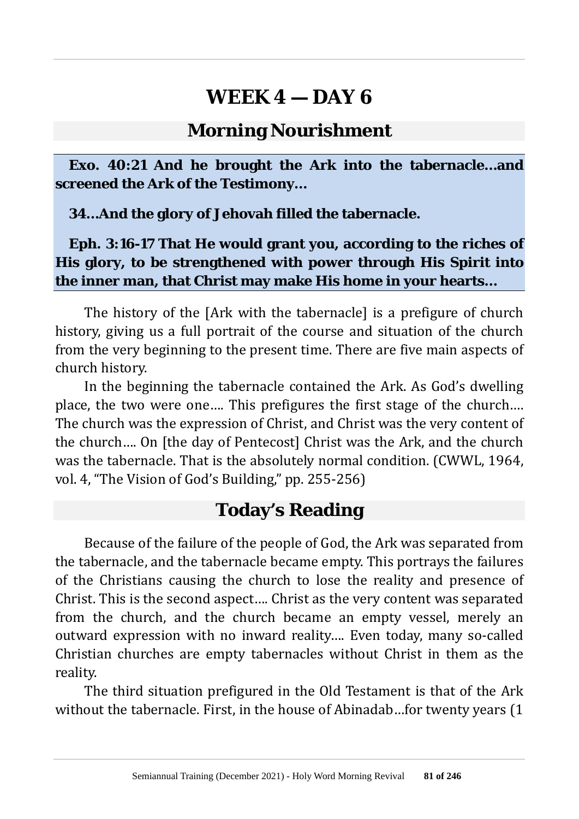#### **Morning Nourishment**

**Exo. 40:21 And he brought the Ark into the tabernacle…and screened the Ark of the Testimony…**

**34…And the glory of Jehovah filled the tabernacle.**

**Eph. 3:16-17 That He would grant you, according to the riches of His glory, to be strengthened with power through His Spirit into the inner man, that Christ may make His home in your hearts…**

The history of the [Ark with the tabernacle] is a prefigure of church history, giving us a full portrait of the course and situation of the church from the very beginning to the present time. There are five main aspects of church history.

In the beginning the tabernacle contained the Ark. As God's dwelling place, the two were one…. This prefigures the first stage of the church…. The church was the expression of Christ, and Christ was the very content of the church…. On [the day of Pentecost] Christ was the Ark, and the church was the tabernacle. That is the absolutely normal condition. (CWWL, 1964, vol. 4, "The Vision of God's Building," pp. 255-256)

### **Today's Reading**

Because of the failure of the people of God, the Ark was separated from the tabernacle, and the tabernacle became empty. This portrays the failures of the Christians causing the church to lose the reality and presence of Christ. This is the second aspect…. Christ as the very content was separated from the church, and the church became an empty vessel, merely an outward expression with no inward reality…. Even today, many so-called Christian churches are empty tabernacles without Christ in them as the reality.

The third situation prefigured in the Old Testament is that of the Ark without the tabernacle. First, in the house of Abinadab…for twenty years (1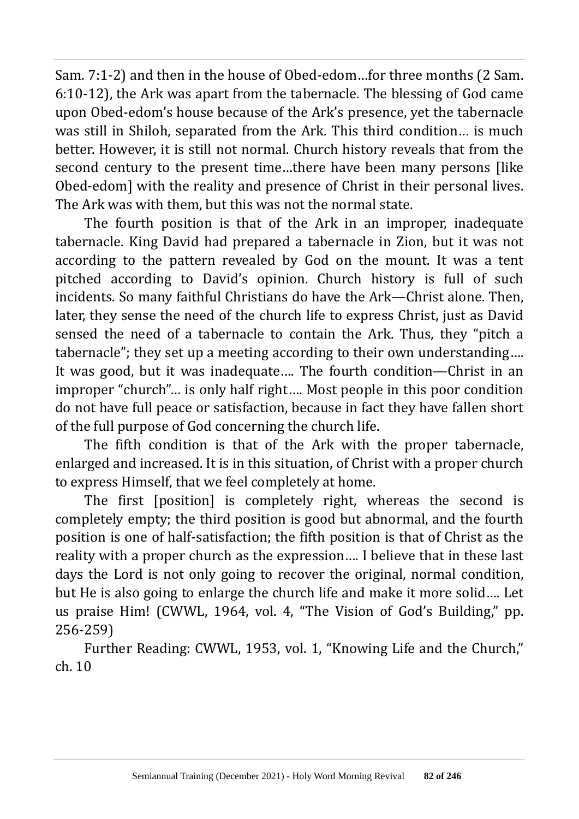Sam. 7:1-2) and then in the house of Obed-edom…for three months (2 Sam. 6:10-12), the Ark was apart from the tabernacle. The blessing of God came upon Obed-edom's house because of the Ark's presence, yet the tabernacle was still in Shiloh, separated from the Ark. This third condition… is much better. However, it is still not normal. Church history reveals that from the second century to the present time…there have been many persons [like Obed-edom] with the reality and presence of Christ in their personal lives. The Ark was with them, but this was not the normal state.

The fourth position is that of the Ark in an improper, inadequate tabernacle. King David had prepared a tabernacle in Zion, but it was not according to the pattern revealed by God on the mount. It was a tent pitched according to David's opinion. Church history is full of such incidents. So many faithful Christians do have the Ark—Christ alone. Then, later, they sense the need of the church life to express Christ, just as David sensed the need of a tabernacle to contain the Ark. Thus, they "pitch a tabernacle"; they set up a meeting according to their own understanding…. It was good, but it was inadequate…. The fourth condition—Christ in an improper "church"… is only half right…. Most people in this poor condition do not have full peace or satisfaction, because in fact they have fallen short of the full purpose of God concerning the church life.

The fifth condition is that of the Ark with the proper tabernacle, enlarged and increased. It is in this situation, of Christ with a proper church to express Himself, that we feel completely at home.

The first [position] is completely right, whereas the second is completely empty; the third position is good but abnormal, and the fourth position is one of half-satisfaction; the fifth position is that of Christ as the reality with a proper church as the expression…. I believe that in these last days the Lord is not only going to recover the original, normal condition, but He is also going to enlarge the church life and make it more solid…. Let us praise Him! (CWWL, 1964, vol. 4, "The Vision of God's Building," pp. 256-259)

Further Reading: CWWL, 1953, vol. 1, "Knowing Life and the Church," ch. 10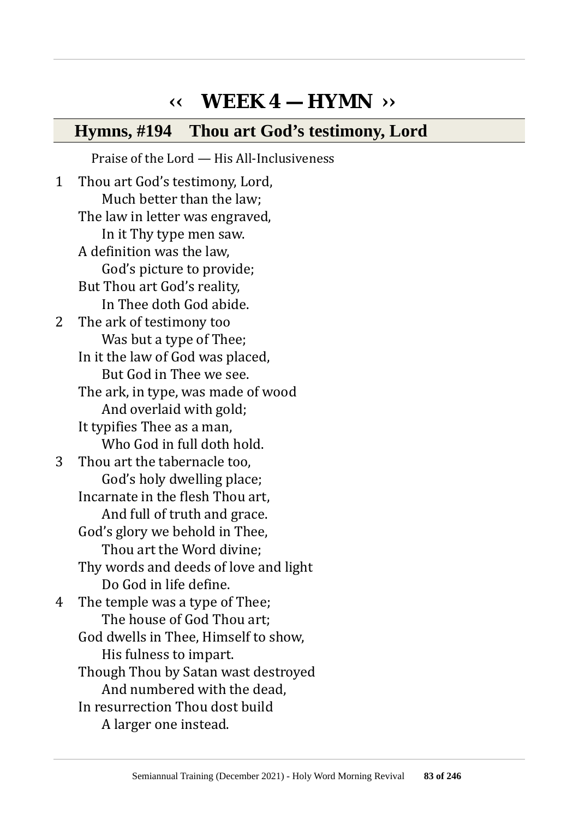# **‹‹ WEEK 4 — HYMN ››**

#### **Hymns, #194 Thou art God's testimony, Lord**

Praise of the Lord — His All-Inclusiveness

1 Thou art God's testimony, Lord, Much better than the law; The law in letter was engraved, In it Thy type men saw. A definition was the law, God's picture to provide; But Thou art God's reality, In Thee doth God abide. 2 The ark of testimony too Was but a type of Thee; In it the law of God was placed, But God in Thee we see. The ark, in type, was made of wood And overlaid with gold; It typifies Thee as a man, Who God in full doth hold. 3 Thou art the tabernacle too, God's holy dwelling place; Incarnate in the flesh Thou art, And full of truth and grace. God's glory we behold in Thee, Thou art the Word divine; Thy words and deeds of love and light Do God in life define. 4 The temple was a type of Thee; The house of God Thou art; God dwells in Thee, Himself to show, His fulness to impart. Though Thou by Satan wast destroyed And numbered with the dead, In resurrection Thou dost build A larger one instead.